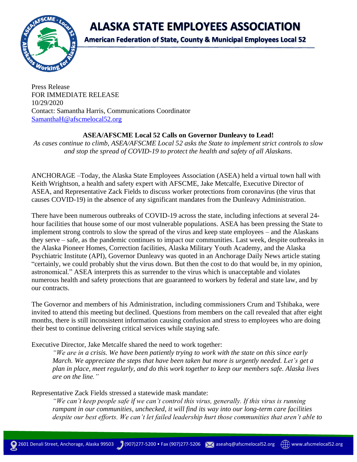**ALASKA STATE EMPLOYEES ASSOCIATION** 



**American Federation of State, County & Municipal Employees Local 52** 

Press Release FOR IMMEDIATE RELEASE 10/29/2020 Contact: Samantha Harris, Communications Coordinator [SamanthaH@afscmelocal52.org](mailto:SamanthaH@afscmelocal52.org)

## **ASEA/AFSCME Local 52 Calls on Governor Dunleavy to Lead!**

*As cases continue to climb, ASEA/AFSCME Local 52 asks the State to implement strict controls to slow and stop the spread of COVID-19 to protect the health and safety of all Alaskans.*

ANCHORAGE –Today, the Alaska State Employees Association (ASEA) held a virtual town hall with Keith Wrightson, a health and safety expert with AFSCME, Jake Metcalfe, Executive Director of ASEA, and Representative Zack Fields to discuss worker protections from coronavirus (the virus that causes COVID-19) in the absence of any significant mandates from the Dunleavy Administration.

There have been numerous outbreaks of COVID-19 across the state, including infections at several 24 hour facilities that house some of our most vulnerable populations. ASEA has been pressing the State to implement strong controls to slow the spread of the virus and keep state employees – and the Alaskans they serve – safe, as the pandemic continues to impact our communities. Last week, despite outbreaks in the Alaska Pioneer Homes, Correction facilities, Alaska Military Youth Academy, and the Alaska Psychiatric Institute (API), Governor Dunleavy was quoted in an Anchorage Daily News article stating "certainly, we could probably shut the virus down. But then the cost to do that would be, in my opinion, astronomical." ASEA interprets this as surrender to the virus which is unacceptable and violates numerous health and safety protections that are guaranteed to workers by federal and state law, and by our contracts.

The Governor and members of his Administration, including commissioners Crum and Tshibaka, were invited to attend this meeting but declined. Questions from members on the call revealed that after eight months, there is still inconsistent information causing confusion and stress to employees who are doing their best to continue delivering critical services while staying safe.

Executive Director, Jake Metcalfe shared the need to work together:

*"We are in a crisis. We have been patiently trying to work with the state on this since early March. We appreciate the steps that have been taken but more is urgently needed. Let's get a plan in place, meet regularly, and do this work together to keep our members safe. Alaska lives are on the line."*

Representative Zack Fields stressed a statewide mask mandate:

*"We can't keep people safe if we can't control this virus, generally. If this virus is running rampant in our communities, unchecked, it will find its way into our long-term care facilities despite our best efforts. We can't let failed leadership hurt those communities that aren't able to*